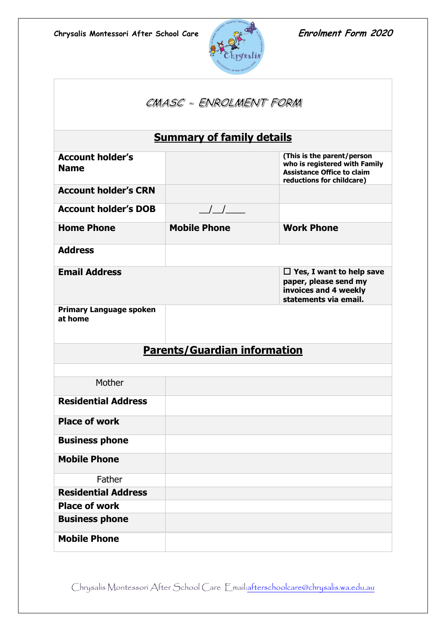

| CMASC - ENROLMENT FORM                    |                                               |                                                                                                                               |  |  |
|-------------------------------------------|-----------------------------------------------|-------------------------------------------------------------------------------------------------------------------------------|--|--|
|                                           | <b>Summary of family details</b>              |                                                                                                                               |  |  |
| <b>Account holder's</b><br><b>Name</b>    |                                               | (This is the parent/person<br>who is registered with Family<br><b>Assistance Office to claim</b><br>reductions for childcare) |  |  |
| <b>Account holder's CRN</b>               |                                               |                                                                                                                               |  |  |
| <b>Account holder's DOB</b>               | $\left  \begin{array}{c} \end{array} \right $ |                                                                                                                               |  |  |
| <b>Home Phone</b>                         | <b>Mobile Phone</b>                           | <b>Work Phone</b>                                                                                                             |  |  |
| <b>Address</b>                            |                                               |                                                                                                                               |  |  |
| <b>Email Address</b>                      |                                               | $\Box$ Yes, I want to help save<br>paper, please send my<br>invoices and 4 weekly<br>statements via email.                    |  |  |
| <b>Primary Language spoken</b><br>at home |                                               |                                                                                                                               |  |  |
|                                           | <b>Parents/Guardian information</b>           |                                                                                                                               |  |  |
| Mother                                    |                                               |                                                                                                                               |  |  |
|                                           |                                               |                                                                                                                               |  |  |
| <b>Residential Address</b>                |                                               |                                                                                                                               |  |  |
| <b>Place of work</b>                      |                                               |                                                                                                                               |  |  |
| <b>Business phone</b>                     |                                               |                                                                                                                               |  |  |
| <b>Mobile Phone</b>                       |                                               |                                                                                                                               |  |  |
| Father                                    |                                               |                                                                                                                               |  |  |
| <b>Residential Address</b>                |                                               |                                                                                                                               |  |  |
| <b>Place of work</b>                      |                                               |                                                                                                                               |  |  |
| <b>Business phone</b>                     |                                               |                                                                                                                               |  |  |
| <b>Mobile Phone</b>                       |                                               |                                                                                                                               |  |  |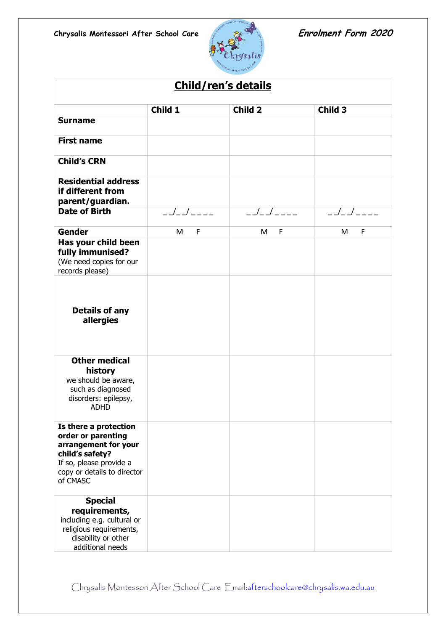

| <b>Child/ren's details</b>                                                                                                                                   |               |          |                    |
|--------------------------------------------------------------------------------------------------------------------------------------------------------------|---------------|----------|--------------------|
|                                                                                                                                                              | Child 1       | Child 2  | Child <sub>3</sub> |
| <b>Surname</b>                                                                                                                                               |               |          |                    |
| <b>First name</b>                                                                                                                                            |               |          |                    |
| <b>Child's CRN</b>                                                                                                                                           |               |          |                    |
| <b>Residential address</b><br>if different from<br>parent/guardian.                                                                                          |               |          |                    |
| <b>Date of Birth</b>                                                                                                                                         | $\frac{1}{2}$ | ________ | $\frac{1}{2}$      |
| <b>Gender</b>                                                                                                                                                | F<br>M        | F<br>М   | F<br>М             |
| Has your child been<br>fully immunised?<br>(We need copies for our<br>records please)                                                                        |               |          |                    |
| <b>Details of any</b><br>allergies                                                                                                                           |               |          |                    |
| <b>Other medical</b><br>history<br>we should be aware,<br>such as diagnosed<br>disorders: epilepsy,<br><b>ADHD</b>                                           |               |          |                    |
| Is there a protection<br>order or parenting<br>arrangement for your<br>child's safety?<br>If so, please provide a<br>copy or details to director<br>of CMASC |               |          |                    |
| <b>Special</b><br>requirements,<br>including e.g. cultural or<br>religious requirements,<br>disability or other<br>additional needs                          |               |          |                    |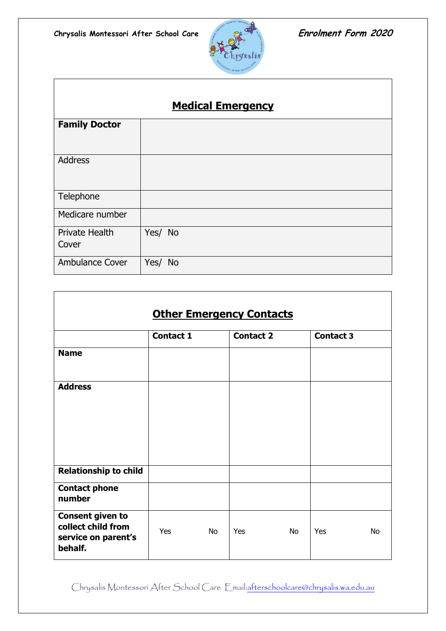$\overline{\phantom{a}}$ 



┑

| <b>Medical Emergency</b> |         |  |
|--------------------------|---------|--|
| <b>Family Doctor</b>     |         |  |
| <b>Address</b>           |         |  |
| Telephone                |         |  |
| Medicare number          |         |  |
| Private Health<br>Cover  | Yes/ No |  |
| <b>Ambulance Cover</b>   | Yes/ No |  |

| <b>Other Emergency Contacts</b>                                                 |                  |           |                  |    |                  |           |
|---------------------------------------------------------------------------------|------------------|-----------|------------------|----|------------------|-----------|
|                                                                                 | <b>Contact 1</b> |           | <b>Contact 2</b> |    | <b>Contact 3</b> |           |
| <b>Name</b>                                                                     |                  |           |                  |    |                  |           |
| <b>Address</b>                                                                  |                  |           |                  |    |                  |           |
| <b>Relationship to child</b>                                                    |                  |           |                  |    |                  |           |
| <b>Contact phone</b><br>number                                                  |                  |           |                  |    |                  |           |
| <b>Consent given to</b><br>collect child from<br>service on parent's<br>behalf. | Yes              | <b>No</b> | Yes              | No | Yes              | <b>No</b> |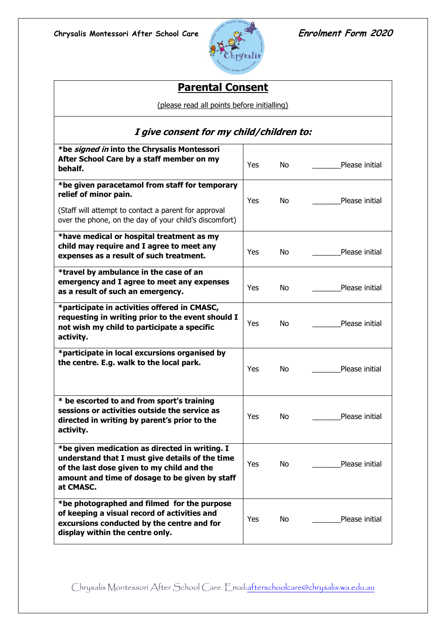

# **Parental Consent**

(please read all points before initialling)

| I give consent for my child/children to:                                                                                                                                                                       |     |     |                |
|----------------------------------------------------------------------------------------------------------------------------------------------------------------------------------------------------------------|-----|-----|----------------|
| *be signed in into the Chrysalis Montessori<br>After School Care by a staff member on my<br>behalf.                                                                                                            | Yes | No. | Please initial |
| *be given paracetamol from staff for temporary<br>relief of minor pain.<br>(Staff will attempt to contact a parent for approval<br>over the phone, on the day of your child's discomfort)                      | Yes | No  | Please initial |
| *have medical or hospital treatment as my<br>child may require and I agree to meet any<br>expenses as a result of such treatment.                                                                              | Yes | No  | Please initial |
| *travel by ambulance in the case of an<br>emergency and I agree to meet any expenses<br>as a result of such an emergency.                                                                                      | Yes | No. | Please initial |
| *participate in activities offered in CMASC,<br>requesting in writing prior to the event should I<br>not wish my child to participate a specific<br>activity.                                                  | Yes | No  | Please initial |
| *participate in local excursions organised by<br>the centre. E.g. walk to the local park.                                                                                                                      | Yes | No  | Please initial |
| * be escorted to and from sport's training<br>sessions or activities outside the service as<br>directed in writing by parent's prior to the<br>activity.                                                       | Yes | No  | Please initial |
| *be given medication as directed in writing. I<br>understand that I must give details of the time<br>of the last dose given to my child and the<br>amount and time of dosage to be given by staff<br>at CMASC. | Yes | No  | Please initial |
| *be photographed and filmed for the purpose<br>of keeping a visual record of activities and<br>excursions conducted by the centre and for<br>display within the centre only.                                   | Yes | No  | Please initial |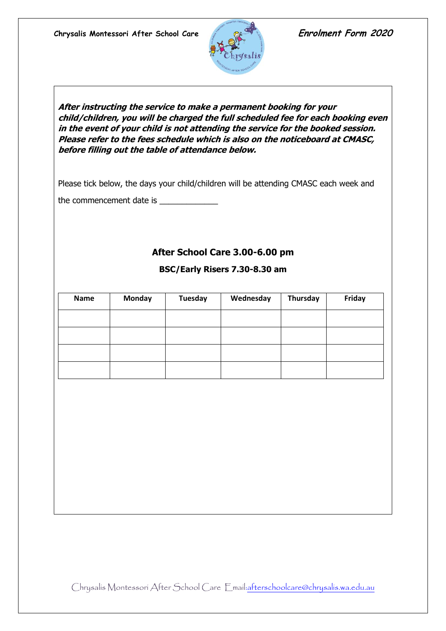

**After instructing the service to make a permanent booking for your child/children, you will be charged the full scheduled fee for each booking even in the event of your child is not attending the service for the booked session. Please refer to the fees schedule which is also on the noticeboard at CMASC, before filling out the table of attendance below.**

Please tick below, the days your child/children will be attending CMASC each week and

the commencement date is \_\_\_\_\_\_\_\_\_\_\_\_\_

## **After School Care 3.00-6.00 pm**

| Name | <b>Monday</b> | <b>Tuesday</b> | Wednesday | Thursday | Friday |
|------|---------------|----------------|-----------|----------|--------|
|      |               |                |           |          |        |
|      |               |                |           |          |        |
|      |               |                |           |          |        |
|      |               |                |           |          |        |
|      |               |                |           |          |        |

#### **BSC/Early Risers 7.30-8.30 am**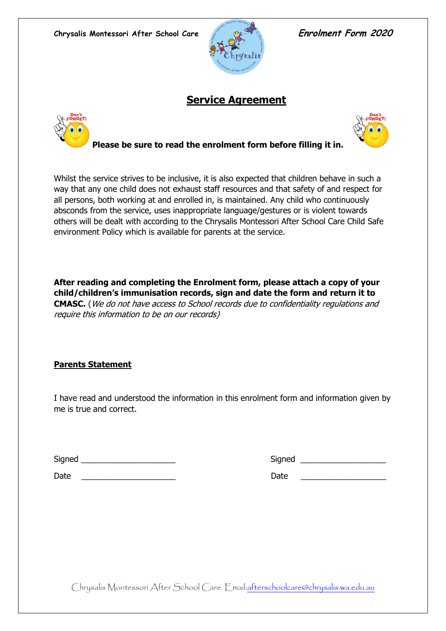

## **Service Agreement**





### **Please be sure to read the enrolment form before filling it in.**

Whilst the service strives to be inclusive, it is also expected that children behave in such a way that any one child does not exhaust staff resources and that safety of and respect for all persons, both working at and enrolled in, is maintained. Any child who continuously absconds from the service, uses inappropriate language/gestures or is violent towards others will be dealt with according to the Chrysalis Montessori After School Care Child Safe environment Policy which is available for parents at the service.

**After reading and completing the Enrolment form, please attach a copy of your child/children's immunisation records, sign and date the form and return it to CMASC.** (We do not have access to School records due to confidentiality regulations and require this information to be on our records)

#### **Parents Statement**

I have read and understood the information in this enrolment form and information given by me is true and correct.

| Signed | Sianed |
|--------|--------|
|        |        |

Date \_\_\_\_\_\_\_\_\_\_\_\_\_\_\_\_\_\_\_\_\_ Date \_\_\_\_\_\_\_\_\_\_\_\_\_\_\_\_\_\_\_

| -<br>Signed |  |
|-------------|--|
|-------------|--|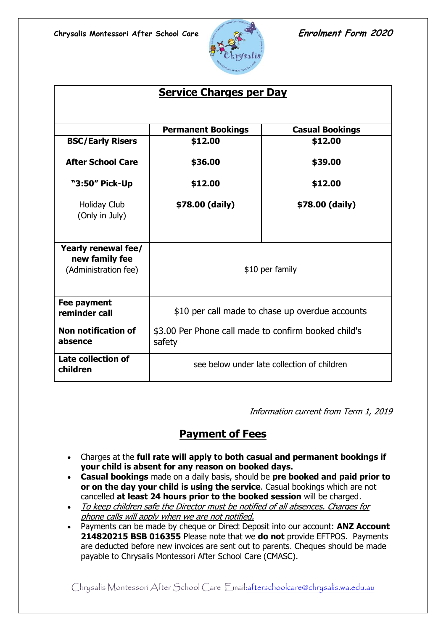

| <b>Service Charges per Day</b>                                |                                                                |                        |  |
|---------------------------------------------------------------|----------------------------------------------------------------|------------------------|--|
|                                                               |                                                                |                        |  |
|                                                               | <b>Permanent Bookings</b><br>\$12.00                           | <b>Casual Bookings</b> |  |
| <b>BSC/Early Risers</b>                                       |                                                                | \$12.00                |  |
| <b>After School Care</b>                                      | \$36.00                                                        | \$39.00                |  |
| "3:50" Pick-Up                                                | \$12.00                                                        | \$12.00                |  |
| Holiday Club<br>(Only in July)                                | \$78.00 (daily)                                                | \$78.00 (daily)        |  |
| Yearly renewal fee/<br>new family fee<br>(Administration fee) | \$10 per family                                                |                        |  |
| Fee payment<br>reminder call                                  | \$10 per call made to chase up overdue accounts                |                        |  |
| Non notification of<br>absence                                | \$3.00 Per Phone call made to confirm booked child's<br>safety |                        |  |
| <b>Late collection of</b><br>children                         | see below under late collection of children                    |                        |  |

Information current from Term 1, 2019

# **Payment of Fees**

- Charges at the **full rate will apply to both casual and permanent bookings if your child is absent for any reason on booked days.**
- **Casual bookings** made on a daily basis, should be **pre booked and paid prior to or on the day your child is using the service**. Casual bookings which are not cancelled **at least 24 hours prior to the booked session** will be charged.
- To keep children safe the Director must be notified of all absences. Charges for phone calls will apply when we are not notified.
- Payments can be made by cheque or Direct Deposit into our account: **ANZ Account 214820215 BSB 016355** Please note that we **do not** provide EFTPOS. Payments are deducted before new invoices are sent out to parents. Cheques should be made payable to Chrysalis Montessori After School Care (CMASC).